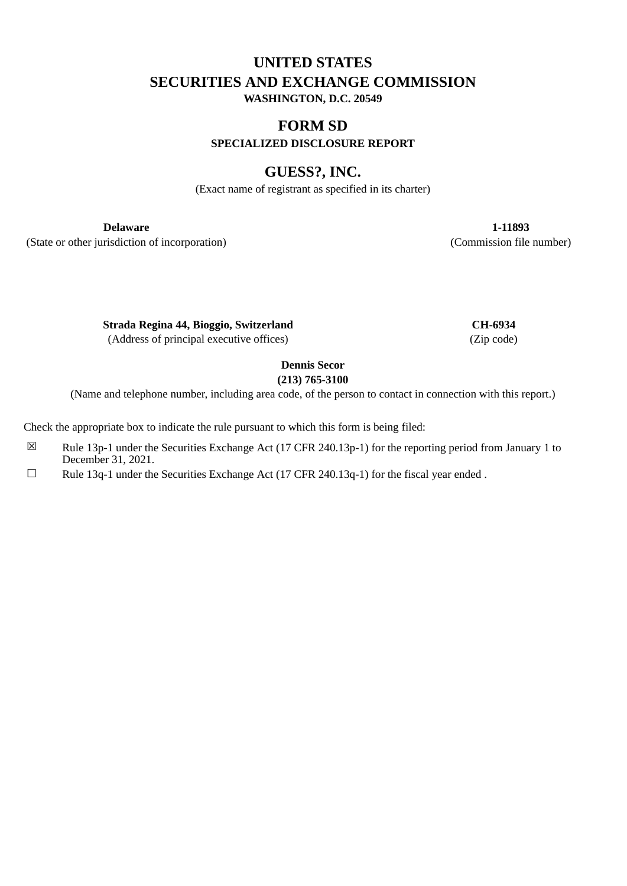# **UNITED STATES SECURITIES AND EXCHANGE COMMISSION WASHINGTON, D.C. 20549**

# **FORM SD**

**SPECIALIZED DISCLOSURE REPORT**

# **GUESS?, INC.**

(Exact name of registrant as specified in its charter)

(State or other jurisdiction of incorporation) (Commission file number)

**Delaware 1-11893**

**Strada Regina 44, Bioggio, Switzerland CH-6934** (Address of principal executive offices) (Zip code)

**Dennis Secor**

**(213) 765-3100**

(Name and telephone number, including area code, of the person to contact in connection with this report.)

Check the appropriate box to indicate the rule pursuant to which this form is being filed:

- $\boxtimes$  Rule 13p-1 under the Securities Exchange Act (17 CFR 240.13p-1) for the reporting period from January 1 to December 31, 2021.
- $\Box$  Rule 13q-1 under the Securities Exchange Act (17 CFR 240.13q-1) for the fiscal year ended .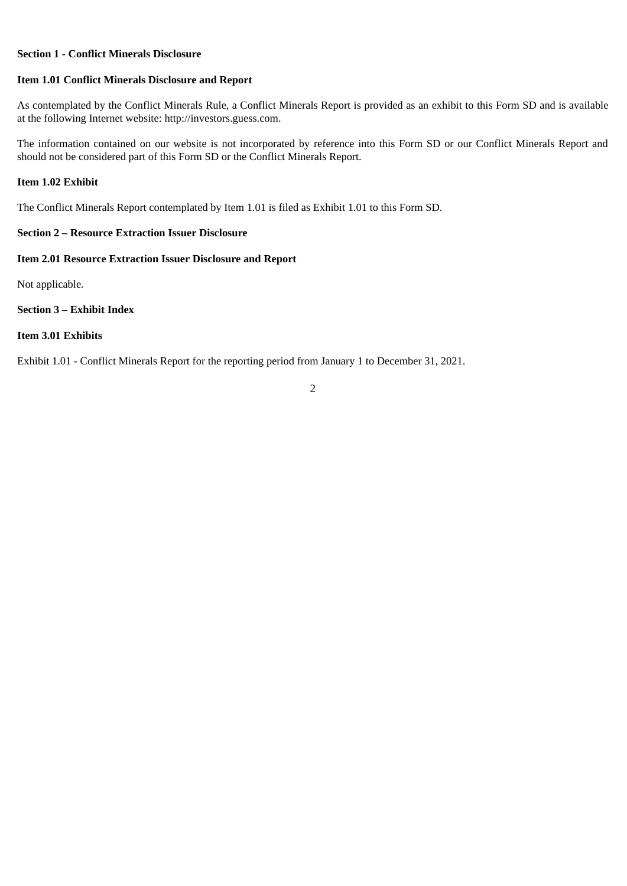#### **Section 1 - Conflict Minerals Disclosure**

#### **Item 1.01 Conflict Minerals Disclosure and Report**

As contemplated by the Conflict Minerals Rule, a Conflict Minerals Report is provided as an exhibit to this Form SD and is available at the following Internet website: http://investors.guess.com.

The information contained on our website is not incorporated by reference into this Form SD or our Conflict Minerals Report and should not be considered part of this Form SD or the Conflict Minerals Report.

#### **Item 1.02 Exhibit**

The Conflict Minerals Report contemplated by Item 1.01 is filed as Exhibit 1.01 to this Form SD.

#### **Section 2 – Resource Extraction Issuer Disclosure**

#### **Item 2.01 Resource Extraction Issuer Disclosure and Report**

Not applicable.

### **Section 3 – Exhibit Index**

#### **Item 3.01 Exhibits**

Exhibit 1.01 - Conflict Minerals Report for the reporting period from January 1 to December 31, 2021.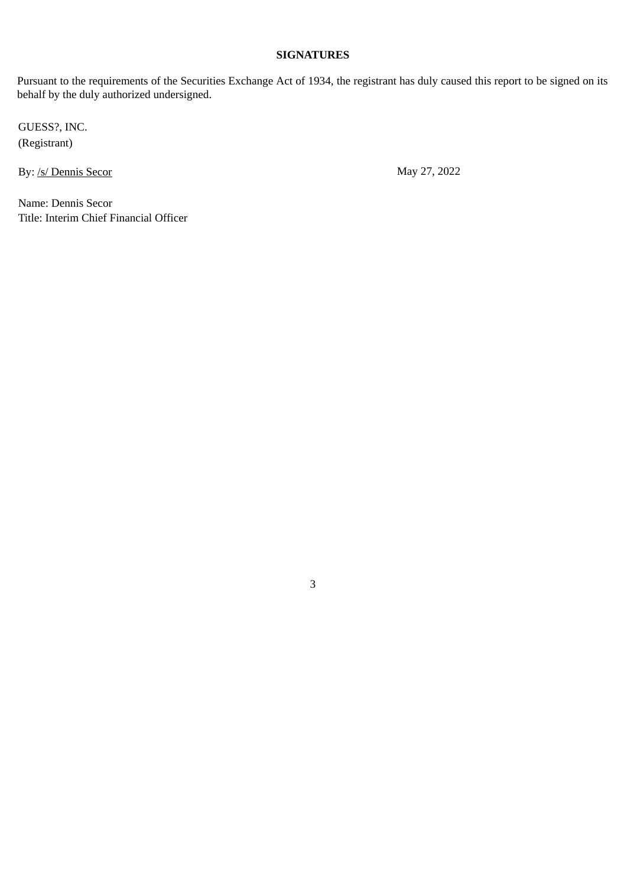# **SIGNATURES**

Pursuant to the requirements of the Securities Exchange Act of 1934, the registrant has duly caused this report to be signed on its behalf by the duly authorized undersigned.

3

GUESS?, INC. (Registrant)

By: /s/ Dennis Secor May 27, 2022

Name: Dennis Secor Title: Interim Chief Financial Officer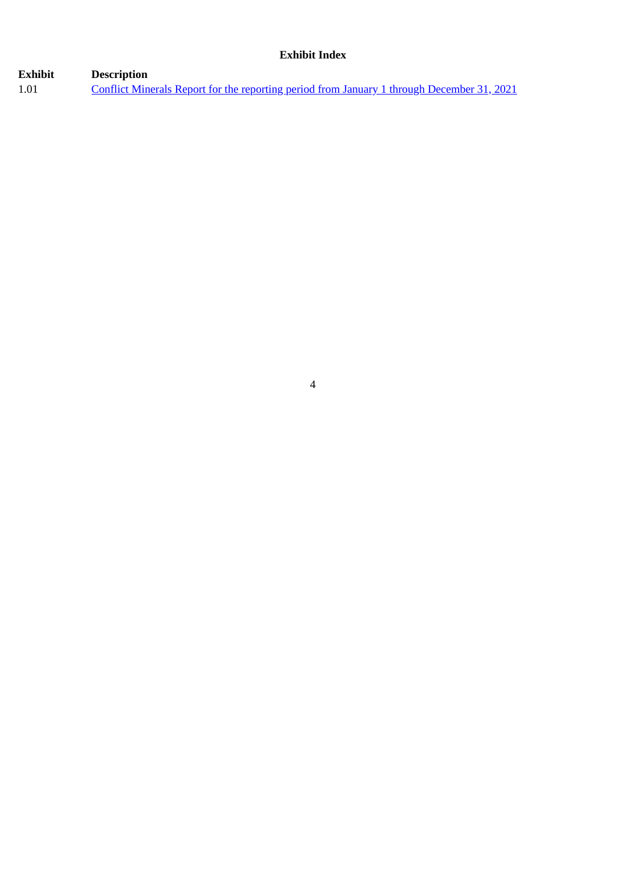## **Exhibit Index**

# **Exhibit Description**<br>1.01 **<u>Conflict Min</u>** 1.01 [Conflict Minerals Report for the reporting period from January 1 through December 31, 2021](#page-4-0)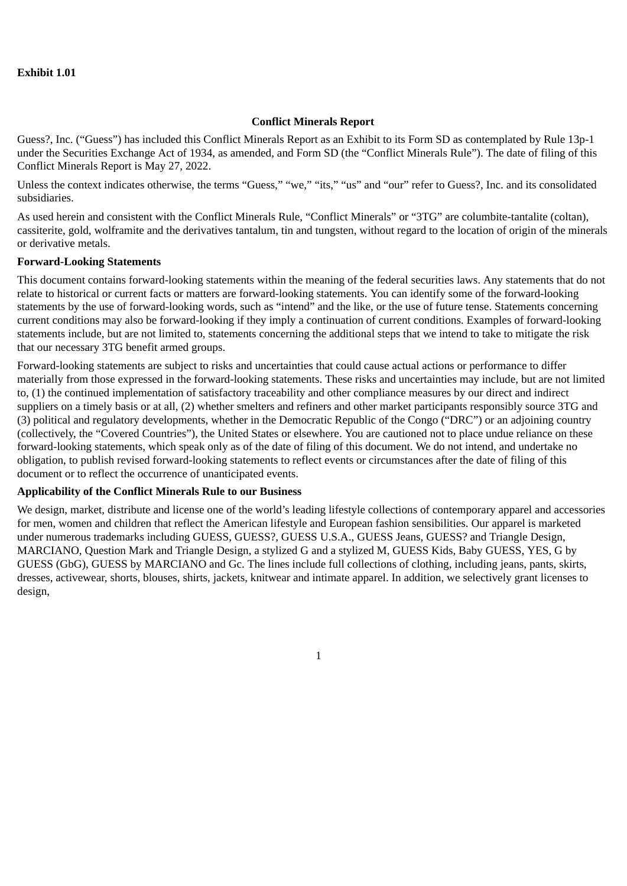### <span id="page-4-0"></span>**Exhibit 1.01**

#### **Conflict Minerals Report**

Guess?, Inc. ("Guess") has included this Conflict Minerals Report as an Exhibit to its Form SD as contemplated by Rule 13p-1 under the Securities Exchange Act of 1934, as amended, and Form SD (the "Conflict Minerals Rule"). The date of filing of this Conflict Minerals Report is May 27, 2022.

Unless the context indicates otherwise, the terms "Guess," "we," "its," "us" and "our" refer to Guess?, Inc. and its consolidated subsidiaries.

As used herein and consistent with the Conflict Minerals Rule, "Conflict Minerals" or "3TG" are columbite-tantalite (coltan), cassiterite, gold, wolframite and the derivatives tantalum, tin and tungsten, without regard to the location of origin of the minerals or derivative metals.

### **Forward-Looking Statements**

This document contains forward-looking statements within the meaning of the federal securities laws. Any statements that do not relate to historical or current facts or matters are forward-looking statements. You can identify some of the forward-looking statements by the use of forward-looking words, such as "intend" and the like, or the use of future tense. Statements concerning current conditions may also be forward-looking if they imply a continuation of current conditions. Examples of forward-looking statements include, but are not limited to, statements concerning the additional steps that we intend to take to mitigate the risk that our necessary 3TG benefit armed groups.

Forward-looking statements are subject to risks and uncertainties that could cause actual actions or performance to differ materially from those expressed in the forward-looking statements. These risks and uncertainties may include, but are not limited to, (1) the continued implementation of satisfactory traceability and other compliance measures by our direct and indirect suppliers on a timely basis or at all, (2) whether smelters and refiners and other market participants responsibly source 3TG and (3) political and regulatory developments, whether in the Democratic Republic of the Congo ("DRC") or an adjoining country (collectively, the "Covered Countries"), the United States or elsewhere. You are cautioned not to place undue reliance on these forward-looking statements, which speak only as of the date of filing of this document. We do not intend, and undertake no obligation, to publish revised forward-looking statements to reflect events or circumstances after the date of filing of this document or to reflect the occurrence of unanticipated events.

#### **Applicability of the Conflict Minerals Rule to our Business**

We design, market, distribute and license one of the world's leading lifestyle collections of contemporary apparel and accessories for men, women and children that reflect the American lifestyle and European fashion sensibilities. Our apparel is marketed under numerous trademarks including GUESS, GUESS?, GUESS U.S.A., GUESS Jeans, GUESS? and Triangle Design, MARCIANO, Question Mark and Triangle Design, a stylized G and a stylized M, GUESS Kids, Baby GUESS, YES, G by GUESS (GbG), GUESS by MARCIANO and Gc. The lines include full collections of clothing, including jeans, pants, skirts, dresses, activewear, shorts, blouses, shirts, jackets, knitwear and intimate apparel. In addition, we selectively grant licenses to design,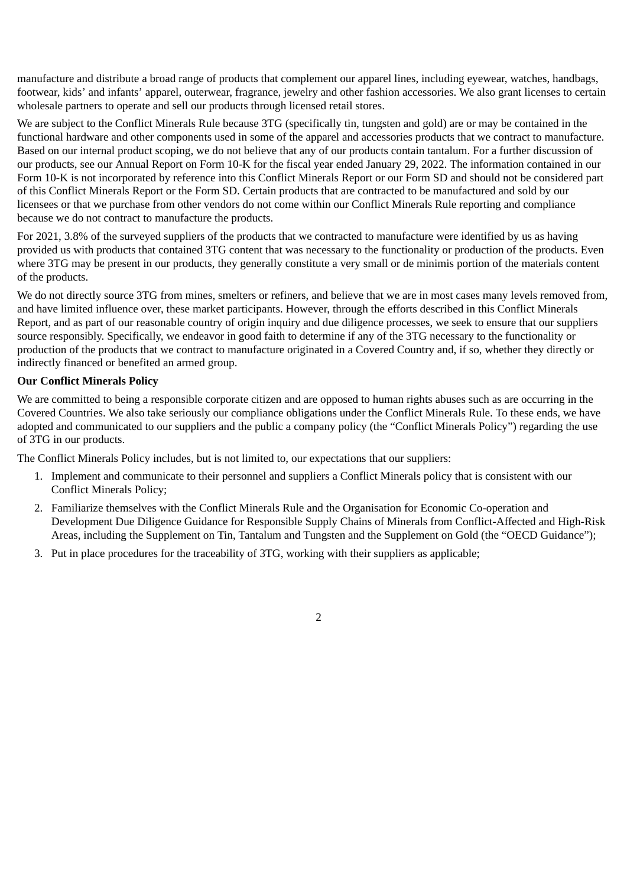manufacture and distribute a broad range of products that complement our apparel lines, including eyewear, watches, handbags, footwear, kids' and infants' apparel, outerwear, fragrance, jewelry and other fashion accessories. We also grant licenses to certain wholesale partners to operate and sell our products through licensed retail stores.

We are subject to the Conflict Minerals Rule because 3TG (specifically tin, tungsten and gold) are or may be contained in the functional hardware and other components used in some of the apparel and accessories products that we contract to manufacture. Based on our internal product scoping, we do not believe that any of our products contain tantalum. For a further discussion of our products, see our Annual Report on Form 10-K for the fiscal year ended January 29, 2022. The information contained in our Form 10-K is not incorporated by reference into this Conflict Minerals Report or our Form SD and should not be considered part of this Conflict Minerals Report or the Form SD. Certain products that are contracted to be manufactured and sold by our licensees or that we purchase from other vendors do not come within our Conflict Minerals Rule reporting and compliance because we do not contract to manufacture the products.

For 2021, 3.8% of the surveyed suppliers of the products that we contracted to manufacture were identified by us as having provided us with products that contained 3TG content that was necessary to the functionality or production of the products. Even where 3TG may be present in our products, they generally constitute a very small or de minimis portion of the materials content of the products.

We do not directly source 3TG from mines, smelters or refiners, and believe that we are in most cases many levels removed from, and have limited influence over, these market participants. However, through the efforts described in this Conflict Minerals Report, and as part of our reasonable country of origin inquiry and due diligence processes, we seek to ensure that our suppliers source responsibly. Specifically, we endeavor in good faith to determine if any of the 3TG necessary to the functionality or production of the products that we contract to manufacture originated in a Covered Country and, if so, whether they directly or indirectly financed or benefited an armed group.

## **Our Conflict Minerals Policy**

We are committed to being a responsible corporate citizen and are opposed to human rights abuses such as are occurring in the Covered Countries. We also take seriously our compliance obligations under the Conflict Minerals Rule. To these ends, we have adopted and communicated to our suppliers and the public a company policy (the "Conflict Minerals Policy") regarding the use of 3TG in our products.

The Conflict Minerals Policy includes, but is not limited to, our expectations that our suppliers:

- 1. Implement and communicate to their personnel and suppliers a Conflict Minerals policy that is consistent with our Conflict Minerals Policy;
- 2. Familiarize themselves with the Conflict Minerals Rule and the Organisation for Economic Co-operation and Development Due Diligence Guidance for Responsible Supply Chains of Minerals from Conflict-Affected and High-Risk Areas, including the Supplement on Tin, Tantalum and Tungsten and the Supplement on Gold (the "OECD Guidance");
- 3. Put in place procedures for the traceability of 3TG, working with their suppliers as applicable;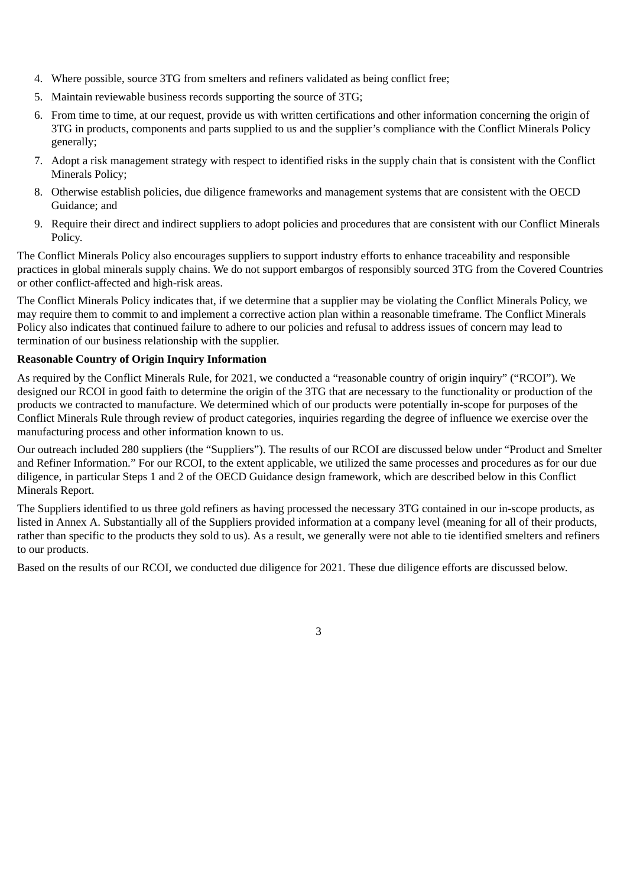- 4. Where possible, source 3TG from smelters and refiners validated as being conflict free;
- 5. Maintain reviewable business records supporting the source of 3TG;
- 6. From time to time, at our request, provide us with written certifications and other information concerning the origin of 3TG in products, components and parts supplied to us and the supplier's compliance with the Conflict Minerals Policy generally;
- 7. Adopt a risk management strategy with respect to identified risks in the supply chain that is consistent with the Conflict Minerals Policy;
- 8. Otherwise establish policies, due diligence frameworks and management systems that are consistent with the OECD Guidance; and
- 9. Require their direct and indirect suppliers to adopt policies and procedures that are consistent with our Conflict Minerals Policy.

The Conflict Minerals Policy also encourages suppliers to support industry efforts to enhance traceability and responsible practices in global minerals supply chains. We do not support embargos of responsibly sourced 3TG from the Covered Countries or other conflict-affected and high-risk areas.

The Conflict Minerals Policy indicates that, if we determine that a supplier may be violating the Conflict Minerals Policy, we may require them to commit to and implement a corrective action plan within a reasonable timeframe. The Conflict Minerals Policy also indicates that continued failure to adhere to our policies and refusal to address issues of concern may lead to termination of our business relationship with the supplier.

## **Reasonable Country of Origin Inquiry Information**

As required by the Conflict Minerals Rule, for 2021, we conducted a "reasonable country of origin inquiry" ("RCOI"). We designed our RCOI in good faith to determine the origin of the 3TG that are necessary to the functionality or production of the products we contracted to manufacture. We determined which of our products were potentially in-scope for purposes of the Conflict Minerals Rule through review of product categories, inquiries regarding the degree of influence we exercise over the manufacturing process and other information known to us.

Our outreach included 280 suppliers (the "Suppliers"). The results of our RCOI are discussed below under "Product and Smelter and Refiner Information." For our RCOI, to the extent applicable, we utilized the same processes and procedures as for our due diligence, in particular Steps 1 and 2 of the OECD Guidance design framework, which are described below in this Conflict Minerals Report.

The Suppliers identified to us three gold refiners as having processed the necessary 3TG contained in our in-scope products, as listed in Annex A. Substantially all of the Suppliers provided information at a company level (meaning for all of their products, rather than specific to the products they sold to us). As a result, we generally were not able to tie identified smelters and refiners to our products.

Based on the results of our RCOI, we conducted due diligence for 2021. These due diligence efforts are discussed below.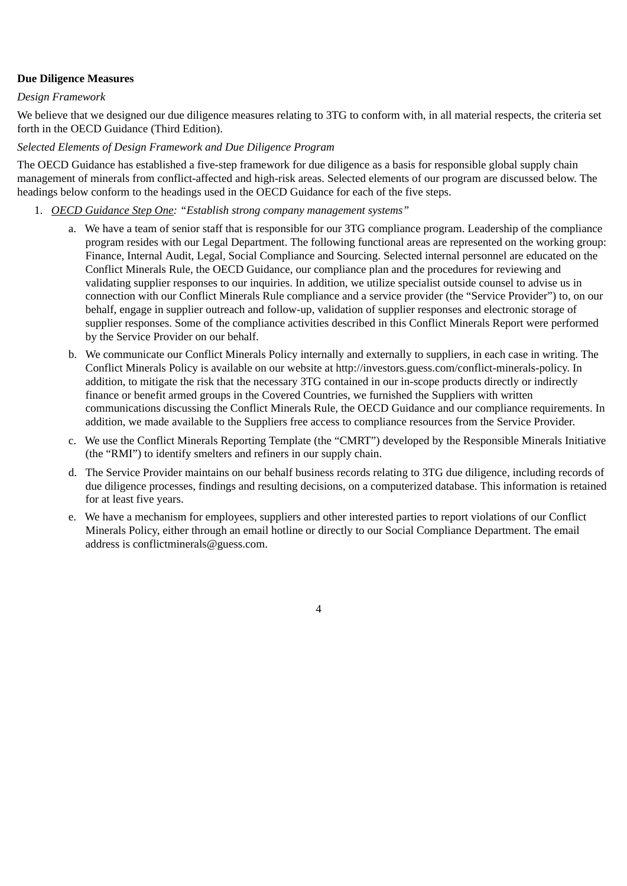## **Due Diligence Measures**

### *Design Framework*

We believe that we designed our due diligence measures relating to 3TG to conform with, in all material respects, the criteria set forth in the OECD Guidance (Third Edition).

## *Selected Elements of Design Framework and Due Diligence Program*

The OECD Guidance has established a five-step framework for due diligence as a basis for responsible global supply chain management of minerals from conflict-affected and high-risk areas. Selected elements of our program are discussed below. The headings below conform to the headings used in the OECD Guidance for each of the five steps.

- 1. *OECD Guidance Step One: "Establish strong company management systems"*
	- a. We have a team of senior staff that is responsible for our 3TG compliance program. Leadership of the compliance program resides with our Legal Department. The following functional areas are represented on the working group: Finance, Internal Audit, Legal, Social Compliance and Sourcing. Selected internal personnel are educated on the Conflict Minerals Rule, the OECD Guidance, our compliance plan and the procedures for reviewing and validating supplier responses to our inquiries. In addition, we utilize specialist outside counsel to advise us in connection with our Conflict Minerals Rule compliance and a service provider (the "Service Provider") to, on our behalf, engage in supplier outreach and follow-up, validation of supplier responses and electronic storage of supplier responses. Some of the compliance activities described in this Conflict Minerals Report were performed by the Service Provider on our behalf.
	- b. We communicate our Conflict Minerals Policy internally and externally to suppliers, in each case in writing. The Conflict Minerals Policy is available on our website at http://investors.guess.com/conflict-minerals-policy. In addition, to mitigate the risk that the necessary 3TG contained in our in-scope products directly or indirectly finance or benefit armed groups in the Covered Countries, we furnished the Suppliers with written communications discussing the Conflict Minerals Rule, the OECD Guidance and our compliance requirements. In addition, we made available to the Suppliers free access to compliance resources from the Service Provider.
	- c. We use the Conflict Minerals Reporting Template (the "CMRT") developed by the Responsible Minerals Initiative (the "RMI") to identify smelters and refiners in our supply chain.
	- d. The Service Provider maintains on our behalf business records relating to 3TG due diligence, including records of due diligence processes, findings and resulting decisions, on a computerized database. This information is retained for at least five years.
	- e. We have a mechanism for employees, suppliers and other interested parties to report violations of our Conflict Minerals Policy, either through an email hotline or directly to our Social Compliance Department. The email address is conflictminerals@guess.com.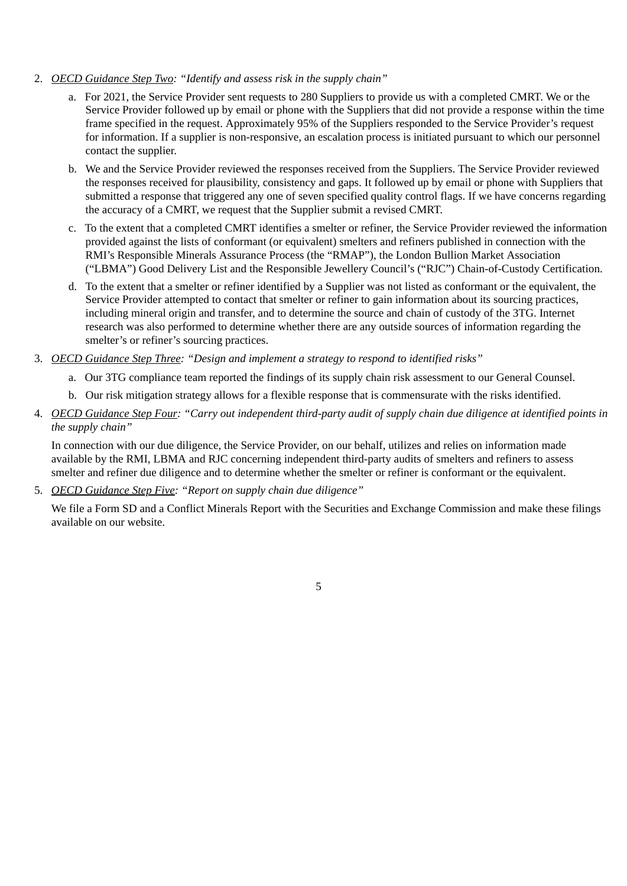- 2. *OECD Guidance Step Two: "Identify and assess risk in the supply chain"*
	- a. For 2021, the Service Provider sent requests to 280 Suppliers to provide us with a completed CMRT. We or the Service Provider followed up by email or phone with the Suppliers that did not provide a response within the time frame specified in the request. Approximately 95% of the Suppliers responded to the Service Provider's request for information. If a supplier is non-responsive, an escalation process is initiated pursuant to which our personnel contact the supplier.
	- b. We and the Service Provider reviewed the responses received from the Suppliers. The Service Provider reviewed the responses received for plausibility, consistency and gaps. It followed up by email or phone with Suppliers that submitted a response that triggered any one of seven specified quality control flags. If we have concerns regarding the accuracy of a CMRT, we request that the Supplier submit a revised CMRT.
	- c. To the extent that a completed CMRT identifies a smelter or refiner, the Service Provider reviewed the information provided against the lists of conformant (or equivalent) smelters and refiners published in connection with the RMI's Responsible Minerals Assurance Process (the "RMAP"), the London Bullion Market Association ("LBMA") Good Delivery List and the Responsible Jewellery Council's ("RJC") Chain-of-Custody Certification.
	- d. To the extent that a smelter or refiner identified by a Supplier was not listed as conformant or the equivalent, the Service Provider attempted to contact that smelter or refiner to gain information about its sourcing practices, including mineral origin and transfer, and to determine the source and chain of custody of the 3TG. Internet research was also performed to determine whether there are any outside sources of information regarding the smelter's or refiner's sourcing practices.
- 3. *OECD Guidance Step Three: "Design and implement a strategy to respond to identified risks"*
	- a. Our 3TG compliance team reported the findings of its supply chain risk assessment to our General Counsel.
	- b. Our risk mitigation strategy allows for a flexible response that is commensurate with the risks identified.
- 4. *OECD Guidance Step Four: "Carry out independent third-party audit of supply chain due diligence at identified points in the supply chain"*

In connection with our due diligence, the Service Provider, on our behalf, utilizes and relies on information made available by the RMI, LBMA and RJC concerning independent third-party audits of smelters and refiners to assess smelter and refiner due diligence and to determine whether the smelter or refiner is conformant or the equivalent.

5. *OECD Guidance Step Five: "Report on supply chain due diligence"*

We file a Form SD and a Conflict Minerals Report with the Securities and Exchange Commission and make these filings available on our website.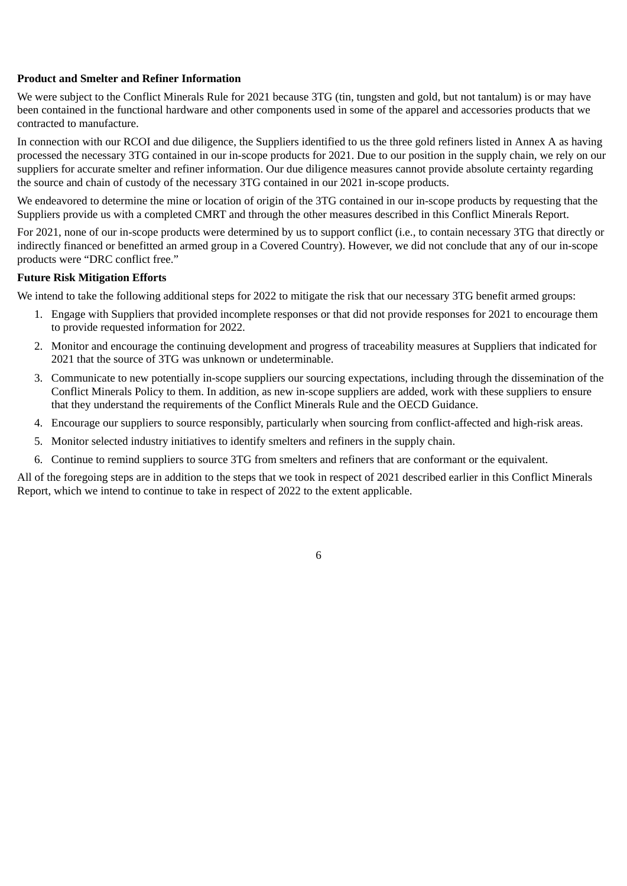### **Product and Smelter and Refiner Information**

We were subject to the Conflict Minerals Rule for 2021 because 3TG (tin, tungsten and gold, but not tantalum) is or may have been contained in the functional hardware and other components used in some of the apparel and accessories products that we contracted to manufacture.

In connection with our RCOI and due diligence, the Suppliers identified to us the three gold refiners listed in Annex A as having processed the necessary 3TG contained in our in-scope products for 2021. Due to our position in the supply chain, we rely on our suppliers for accurate smelter and refiner information. Our due diligence measures cannot provide absolute certainty regarding the source and chain of custody of the necessary 3TG contained in our 2021 in-scope products.

We endeavored to determine the mine or location of origin of the 3TG contained in our in-scope products by requesting that the Suppliers provide us with a completed CMRT and through the other measures described in this Conflict Minerals Report.

For 2021, none of our in-scope products were determined by us to support conflict (i.e., to contain necessary 3TG that directly or indirectly financed or benefitted an armed group in a Covered Country). However, we did not conclude that any of our in-scope products were "DRC conflict free."

## **Future Risk Mitigation Efforts**

We intend to take the following additional steps for 2022 to mitigate the risk that our necessary 3TG benefit armed groups:

- 1. Engage with Suppliers that provided incomplete responses or that did not provide responses for 2021 to encourage them to provide requested information for 2022.
- 2. Monitor and encourage the continuing development and progress of traceability measures at Suppliers that indicated for 2021 that the source of 3TG was unknown or undeterminable.
- 3. Communicate to new potentially in-scope suppliers our sourcing expectations, including through the dissemination of the Conflict Minerals Policy to them. In addition, as new in-scope suppliers are added, work with these suppliers to ensure that they understand the requirements of the Conflict Minerals Rule and the OECD Guidance.
- 4. Encourage our suppliers to source responsibly, particularly when sourcing from conflict-affected and high-risk areas.
- 5. Monitor selected industry initiatives to identify smelters and refiners in the supply chain.
- 6. Continue to remind suppliers to source 3TG from smelters and refiners that are conformant or the equivalent.

All of the foregoing steps are in addition to the steps that we took in respect of 2021 described earlier in this Conflict Minerals Report, which we intend to continue to take in respect of 2022 to the extent applicable.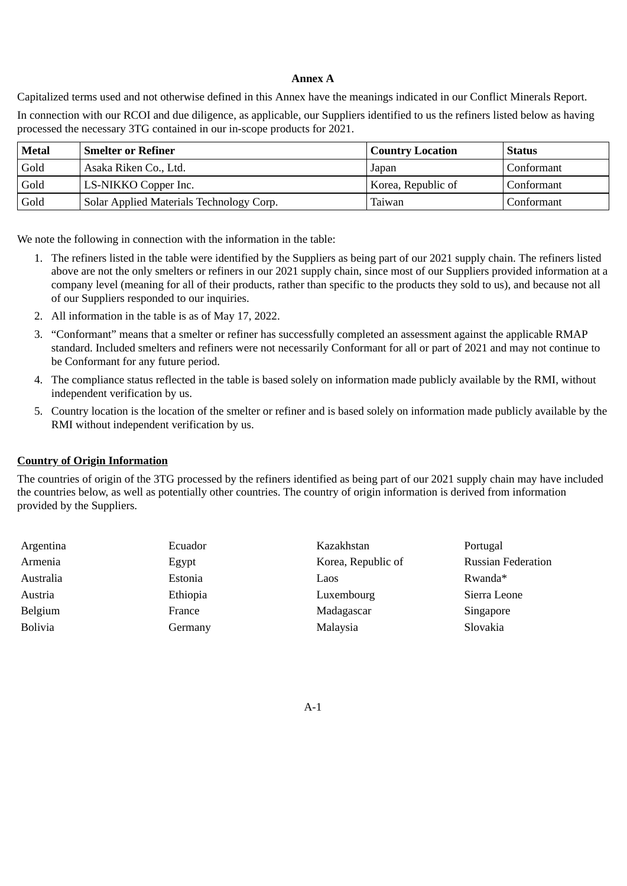### **Annex A**

Capitalized terms used and not otherwise defined in this Annex have the meanings indicated in our Conflict Minerals Report.

In connection with our RCOI and due diligence, as applicable, our Suppliers identified to us the refiners listed below as having processed the necessary 3TG contained in our in-scope products for 2021.

| <b>Metal</b> | <b>Smelter or Refiner</b>                | <b>Country Location</b> | Status       |
|--------------|------------------------------------------|-------------------------|--------------|
| Gold         | Asaka Riken Co., Ltd.                    | Japan                   | Conformant   |
| Gold         | LS-NIKKO Copper Inc.                     | Korea, Republic of      | Conformant   |
| Gold         | Solar Applied Materials Technology Corp. | Taiwan                  | l Conformant |

We note the following in connection with the information in the table:

- 1. The refiners listed in the table were identified by the Suppliers as being part of our 2021 supply chain. The refiners listed above are not the only smelters or refiners in our 2021 supply chain, since most of our Suppliers provided information at a company level (meaning for all of their products, rather than specific to the products they sold to us), and because not all of our Suppliers responded to our inquiries.
- 2. All information in the table is as of May 17, 2022.
- 3. "Conformant" means that a smelter or refiner has successfully completed an assessment against the applicable RMAP standard. Included smelters and refiners were not necessarily Conformant for all or part of 2021 and may not continue to be Conformant for any future period.
- 4. The compliance status reflected in the table is based solely on information made publicly available by the RMI, without independent verification by us.
- 5. Country location is the location of the smelter or refiner and is based solely on information made publicly available by the RMI without independent verification by us.

#### **Country of Origin Information**

The countries of origin of the 3TG processed by the refiners identified as being part of our 2021 supply chain may have included the countries below, as well as potentially other countries. The country of origin information is derived from information provided by the Suppliers.

| Argentina      | Ecuador  | Kazakhstan         | Portugal                  |
|----------------|----------|--------------------|---------------------------|
| Armenia        | Egypt    | Korea, Republic of | <b>Russian Federation</b> |
| Australia      | Estonia  | Laos               | Rwanda*                   |
| Austria        | Ethiopia | Luxembourg         | Sierra Leone              |
| Belgium        | France   | Madagascar         | Singapore                 |
| <b>Bolivia</b> | Germany  | Malaysia           | Slovakia                  |

A-1